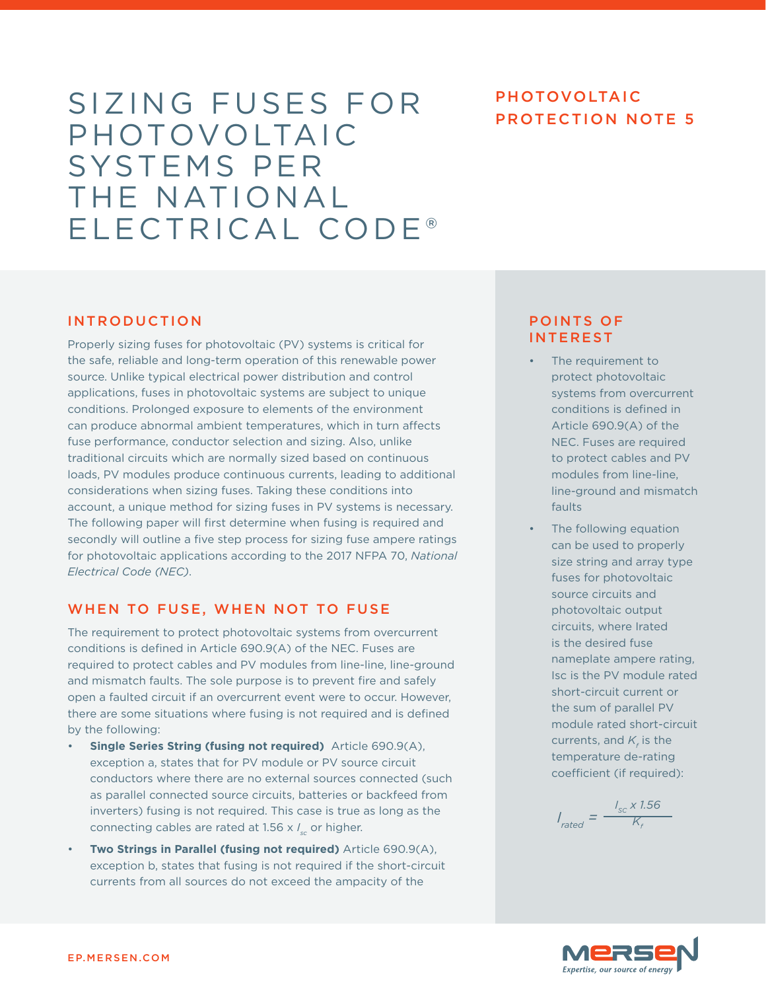# SIZING FUSES FOR PHOTOVOLTAIC PHOTOVOLTAIC SYSTEMS PER THE NATIONAL ELECTRICAL CODE®

# PHOTOVOLTAIC

# INTRODUCTION

Properly sizing fuses for photovoltaic (PV) systems is critical for the safe, reliable and long-term operation of this renewable power source. Unlike typical electrical power distribution and control applications, fuses in photovoltaic systems are subject to unique conditions. Prolonged exposure to elements of the environment can produce abnormal ambient temperatures, which in turn affects fuse performance, conductor selection and sizing. Also, unlike traditional circuits which are normally sized based on continuous loads, PV modules produce continuous currents, leading to additional considerations when sizing fuses. Taking these conditions into account, a unique method for sizing fuses in PV systems is necessary. The following paper will first determine when fusing is required and secondly will outline a five step process for sizing fuse ampere ratings for photovoltaic applications according to the 2017 NFPA 70, *National Electrical Code (NEC)*.

# WHEN TO FUSE, WHEN NOT TO FUSE

The requirement to protect photovoltaic systems from overcurrent conditions is defined in Article 690.9(A) of the NEC. Fuses are required to protect cables and PV modules from line-line, line-ground and mismatch faults. The sole purpose is to prevent fire and safely open a faulted circuit if an overcurrent event were to occur. However, there are some situations where fusing is not required and is defined by the following:

- **Single Series String (fusing not required)** Article 690.9(A), exception a, states that for PV module or PV source circuit conductors where there are no external sources connected (such as parallel connected source circuits, batteries or backfeed from inverters) fusing is not required. This case is true as long as the connecting cables are rated at 1.56 x *I sc* or higher.
- **Two Strings in Parallel (fusing not required)** Article 690.9(A), exception b, states that fusing is not required if the short-circuit currents from all sources do not exceed the ampacity of the

# POINTS OF INTEREST

- The requirement to protect photovoltaic systems from overcurrent conditions is defined in Article 690.9(A) of the NEC. Fuses are required to protect cables and PV modules from line-line, line-ground and mismatch faults
- The following equation can be used to properly size string and array type fuses for photovoltaic source circuits and photovoltaic output circuits, where Irated is the desired fuse nameplate ampere rating, Isc is the PV module rated short-circuit current or the sum of parallel PV module rated short-circuit currents, and  $K_{\!\scriptscriptstyle f}$  is the temperature de-rating coefficient (if required):

*I rated = I SC x 1.56*  $K_{\!\scriptscriptstyle f}$ 

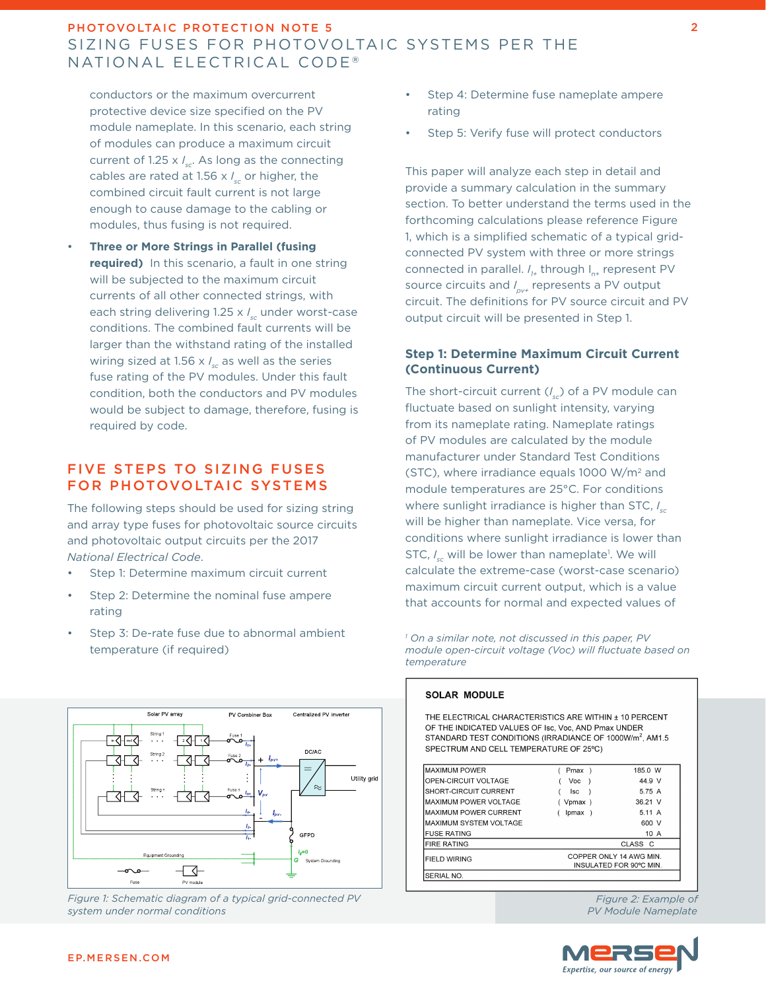# PHOTOVOLTAIC PROTECTION NOTE 5 SIZING FUSES FOR PHOTOVOLTAIC SYSTEMS PER THE NATIONAL ELECTRICAL CODE<sup>®</sup>

conductors or the maximum overcurrent protective device size specified on the PV module nameplate. In this scenario, each string of modules can produce a maximum circuit current of 1.25 x *I sc*. As long as the connecting cables are rated at 1.56 x *I sc* or higher, the combined circuit fault current is not large enough to cause damage to the cabling or modules, thus fusing is not required.

• **Three or More Strings in Parallel (fusing required)** In this scenario, a fault in one string will be subjected to the maximum circuit currents of all other connected strings, with each string delivering 1.25 x *I sc* under worst-case conditions. The combined fault currents will be larger than the withstand rating of the installed wiring sized at 1.56 x *I sc* as well as the series fuse rating of the PV modules. Under this fault condition, both the conductors and PV modules would be subject to damage, therefore, fusing is required by code.

# FIVE STEPS TO SIZING FUSES FOR PHOTOVOLTAIC SYSTEMS

The following steps should be used for sizing string and array type fuses for photovoltaic source circuits and photovoltaic output circuits per the 2017 *National Electrical Code*.

- Step 1: Determine maximum circuit current
- Step 2: Determine the nominal fuse ampere rating
- Step 3: De-rate fuse due to abnormal ambient temperature (if required)



*Figure 1: Schematic diagram of a typical grid-connected PV system under normal conditions*

- Step 4: Determine fuse nameplate ampere rating
- Step 5: Verify fuse will protect conductors

This paper will analyze each step in detail and provide a summary calculation in the summary section. To better understand the terms used in the forthcoming calculations please reference Figure 1, which is a simplified schematic of a typical gridconnected PV system with three or more strings connected in parallel. *I*<sub>1+</sub> through I<sub>n+</sub> represent PV source circuits and *I pv+* represents a PV output circuit. The definitions for PV source circuit and PV output circuit will be presented in Step 1.

### **Step 1: Determine Maximum Circuit Current (Continuous Current)**

The short-circuit current (*I sc*) of a PV module can fluctuate based on sunlight intensity, varying from its nameplate rating. Nameplate ratings of PV modules are calculated by the module manufacturer under Standard Test Conditions (STC), where irradiance equals 1000 W/m2 and module temperatures are 25°C. For conditions where sunlight irradiance is higher than STC, *I sc* will be higher than nameplate. Vice versa, for conditions where sunlight irradiance is lower than STC, I<sub>sc</sub> will be lower than nameplate<sup>1</sup>. We will calculate the extreme-case (worst-case scenario) maximum circuit current output, which is a value that accounts for normal and expected values of

*1 On a similar note, not discussed in this paper, PV module open-circuit voltage (Voc) will fluctuate based on temperature*

| <b>SOLAR MODULE</b>                                                                                                                                                                                                             |                                                   |         |
|---------------------------------------------------------------------------------------------------------------------------------------------------------------------------------------------------------------------------------|---------------------------------------------------|---------|
| THE FLECTRICAL CHARACTERISTICS ARE WITHIN + 10 PERCENT<br>OF THE INDICATED VALUES OF Isc, Voc, AND Pmax UNDER<br>STANDARD TEST CONDITIONS (IRRADIANCE OF 1000W/m <sup>2</sup> , AM1.5<br>SPECTRUM AND CELL TEMPERATURE OF 25°C) |                                                   |         |
| <b>MAXIMUM POWER</b>                                                                                                                                                                                                            | Pmax)                                             | 185.0 W |
| OPEN-CIRCUIT VOLTAGE                                                                                                                                                                                                            | Voc<br>$\rightarrow$                              | 44.9 V  |
| SHORT-CIRCUIT CURRENT                                                                                                                                                                                                           | lsc                                               | 5.75 A  |
| <b>MAXIMUM POWER VOLTAGE</b>                                                                                                                                                                                                    | (Vpmax)                                           | 36.21 V |
| <b>MAXIMUM POWER CURRENT</b>                                                                                                                                                                                                    | Ipmax )                                           | 5.11 A  |
| <b>MAXIMUM SYSTEM VOLTAGE</b>                                                                                                                                                                                                   |                                                   | 600 V   |
| <b>FUSE RATING</b>                                                                                                                                                                                                              |                                                   | 10 A    |
| <b>FIRE RATING</b>                                                                                                                                                                                                              |                                                   | CLASS C |
| <b>FIELD WIRING</b>                                                                                                                                                                                                             | COPPER ONLY 14 AWG MIN<br>INSULATED FOR 90°C MIN. |         |
|                                                                                                                                                                                                                                 |                                                   |         |

*Figure 2: Example of PV Module Nameplate*

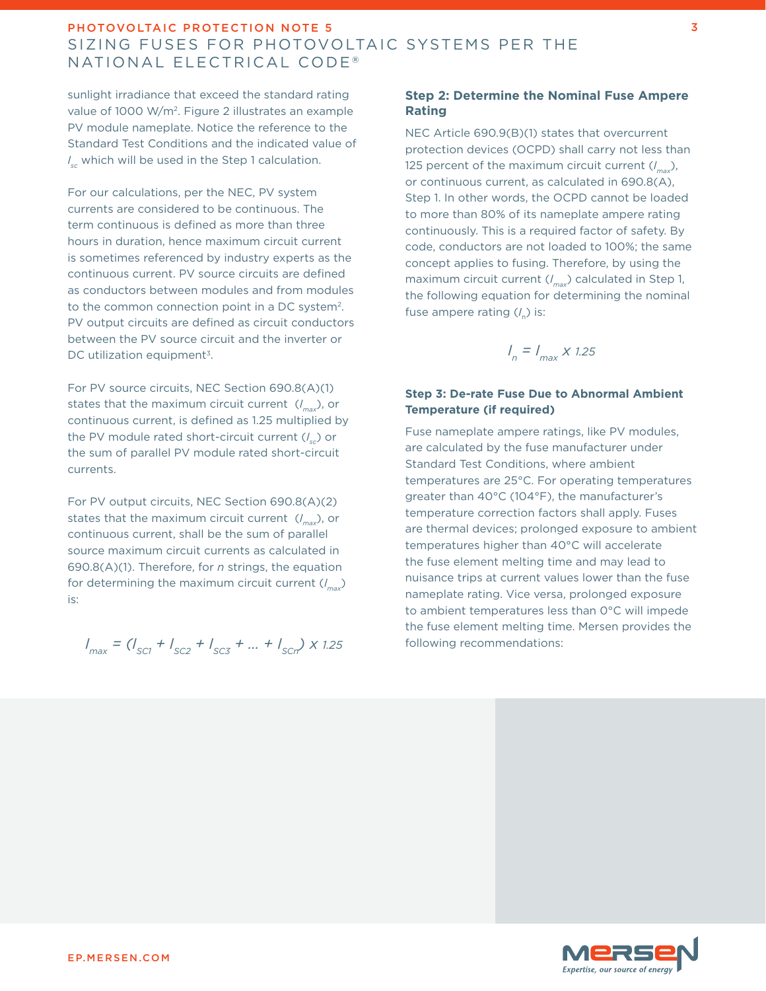# PHOTOVOLTAIC PROTECTION NOTE 5 SIZING FUSES FOR PHOTOVOLTAIC SYSTEMS PER THE NATIONAL ELECTRICAL CODE<sup>®</sup>

sunlight irradiance that exceed the standard rating value of 1000 W/m2. Figure 2 illustrates an example PV module nameplate. Notice the reference to the Standard Test Conditions and the indicated value of *I sc* which will be used in the Step 1 calculation.

For our calculations, per the NEC, PV system currents are considered to be continuous. The term continuous is defined as more than three hours in duration, hence maximum circuit current is sometimes referenced by industry experts as the continuous current. PV source circuits are defined as conductors between modules and from modules to the common connection point in a DC system2. PV output circuits are defined as circuit conductors between the PV source circuit and the inverter or DC utilization equipment<sup>3</sup>.

For PV source circuits, NEC Section 690.8(A)(1) states that the maximum circuit current (*I max*), or continuous current, is defined as 1.25 multiplied by the PV module rated short-circuit current (*I sc*) or the sum of parallel PV module rated short-circuit currents.

For PV output circuits, NEC Section 690.8(A)(2) states that the maximum circuit current (*I max*), or continuous current, shall be the sum of parallel source maximum circuit currents as calculated in 690.8(A)(1). Therefore, for *n* strings, the equation for determining the maximum circuit current (*I max*) is:

$$
I_{max} = (I_{SC1} + I_{SC2} + I_{SC3} + \dots + I_{SCn}) \times 1.25
$$

# **Step 2: Determine the Nominal Fuse Ampere Rating**

NEC Article 690.9(B)(1) states that overcurrent protection devices (OCPD) shall carry not less than 125 percent of the maximum circuit current (*I max*), or continuous current, as calculated in 690.8(A), Step 1. In other words, the OCPD cannot be loaded to more than 80% of its nameplate ampere rating continuously. This is a required factor of safety. By code, conductors are not loaded to 100%; the same concept applies to fusing. Therefore, by using the maximum circuit current (*I max*) calculated in Step 1, the following equation for determining the nominal fuse ampere rating (*I* n) is:

$$
I_n = I_{max} \times 1.25
$$

## **Step 3: De-rate Fuse Due to Abnormal Ambient Temperature (if required)**

Fuse nameplate ampere ratings, like PV modules, are calculated by the fuse manufacturer under Standard Test Conditions, where ambient temperatures are 25°C. For operating temperatures greater than 40°C (104°F), the manufacturer's temperature correction factors shall apply. Fuses are thermal devices; prolonged exposure to ambient temperatures higher than 40°C will accelerate the fuse element melting time and may lead to nuisance trips at current values lower than the fuse nameplate rating. Vice versa, prolonged exposure to ambient temperatures less than 0°C will impede the fuse element melting time. Mersen provides the following recommendations:

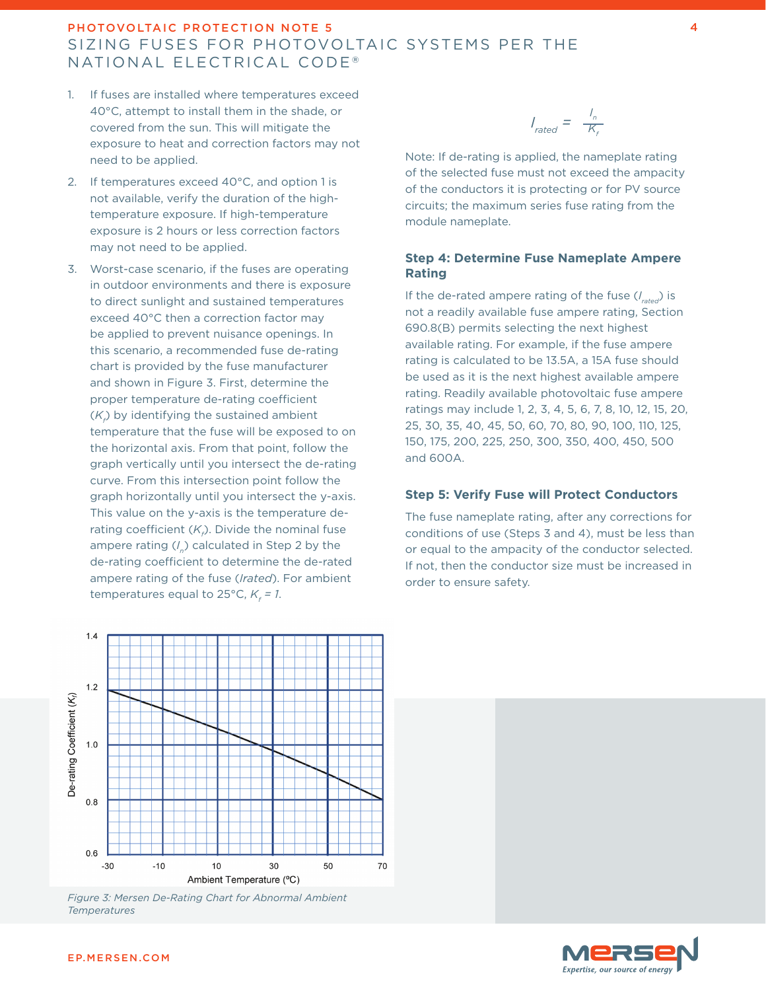# PHOTOVOLTAIC PROTECTION NOTE 5 SIZING FUSES FOR PHOTOVOLTAIC SYSTEMS PER THE NATIONAL ELECTRICAL CODE<sup>®</sup>

- 1. If fuses are installed where temperatures exceed 40°C, attempt to install them in the shade, or covered from the sun. This will mitigate the exposure to heat and correction factors may not need to be applied.
- 2. If temperatures exceed 40°C, and option 1 is not available, verify the duration of the hightemperature exposure. If high-temperature exposure is 2 hours or less correction factors may not need to be applied.
- 3. Worst-case scenario, if the fuses are operating in outdoor environments and there is exposure to direct sunlight and sustained temperatures exceed 40°C then a correction factor may be applied to prevent nuisance openings. In this scenario, a recommended fuse de-rating chart is provided by the fuse manufacturer and shown in Figure 3. First, determine the proper temperature de-rating coefficient  $(K<sub>f</sub>)$  by identifying the sustained ambient temperature that the fuse will be exposed to on the horizontal axis. From that point, follow the graph vertically until you intersect the de-rating curve. From this intersection point follow the graph horizontally until you intersect the y-axis. This value on the y-axis is the temperature derating coefficient ( $\mathcal{K}_{\rho}$ ). Divide the nominal fuse ampere rating (*I <sup>n</sup>*) calculated in Step 2 by the de-rating coefficient to determine the de-rated ampere rating of the fuse (*Irated*). For ambient  $temperatures$  equal to 25°C,  $K_f = 1.$

 $I_{\text{rated}} = \frac{I_n}{K_f}$ 

Note: If de-rating is applied, the nameplate rating of the selected fuse must not exceed the ampacity of the conductors it is protecting or for PV source circuits; the maximum series fuse rating from the module nameplate.

#### **Step 4: Determine Fuse Nameplate Ampere Rating**

If the de-rated ampere rating of the fuse (*I rated*) is not a readily available fuse ampere rating, Section 690.8(B) permits selecting the next highest available rating. For example, if the fuse ampere rating is calculated to be 13.5A, a 15A fuse should be used as it is the next highest available ampere rating. Readily available photovoltaic fuse ampere ratings may include 1, 2, 3, 4, 5, 6, 7, 8, 10, 12, 15, 20, 25, 30, 35, 40, 45, 50, 60, 70, 80, 90, 100, 110, 125, 150, 175, 200, 225, 250, 300, 350, 400, 450, 500 and 600A.

## **Step 5: Verify Fuse will Protect Conductors**

The fuse nameplate rating, after any corrections for conditions of use (Steps 3 and 4), must be less than or equal to the ampacity of the conductor selected. If not, then the conductor size must be increased in order to ensure safety.



*Figure 3: Mersen De-Rating Chart for Abnormal Ambient Temperatures*